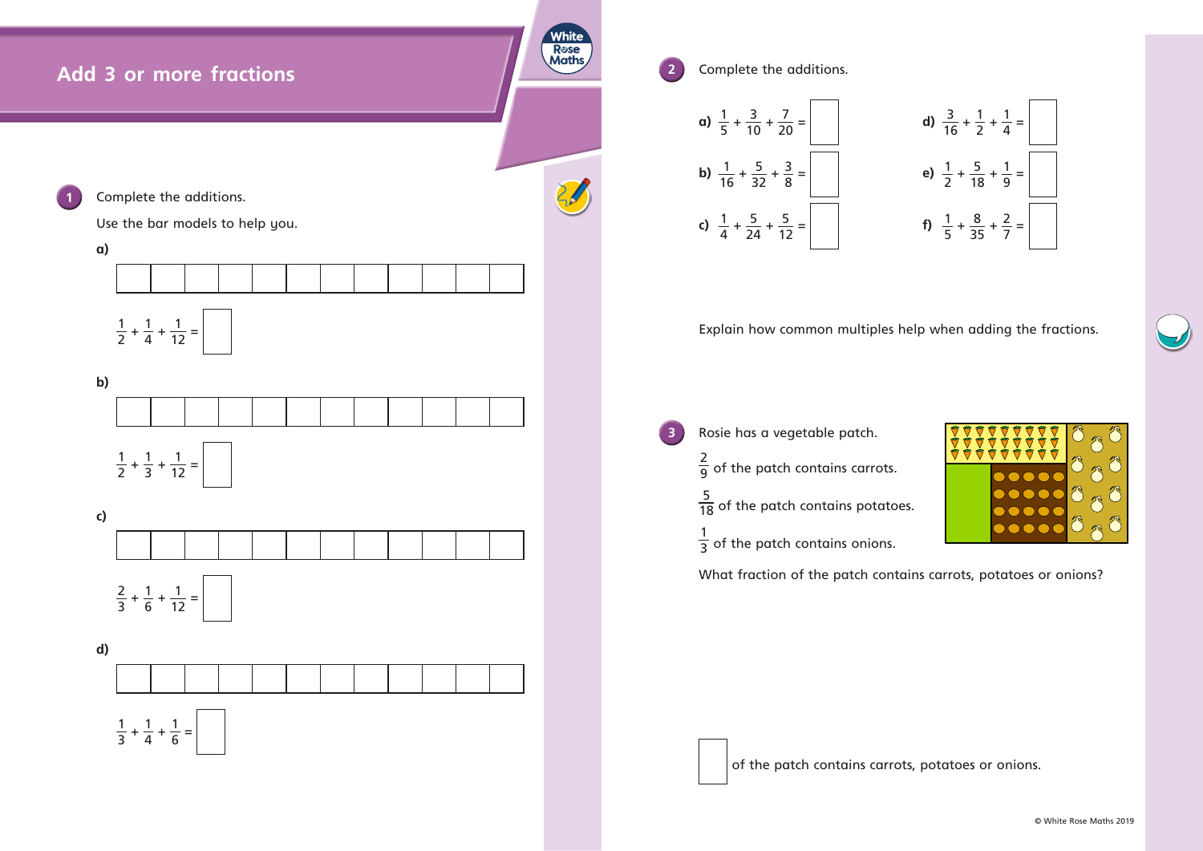